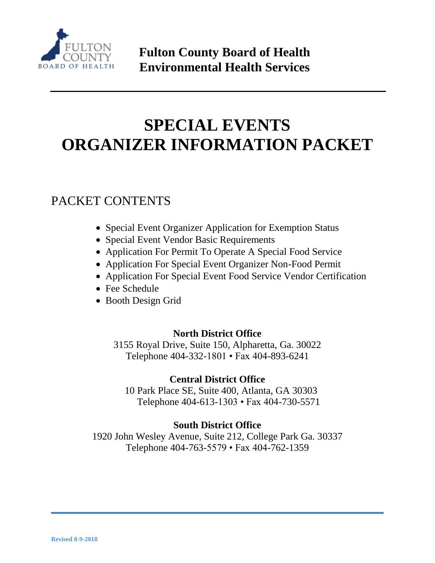

# **SPECIAL EVENTS ORGANIZER INFORMATION PACKET**

### PACKET CONTENTS

- Special Event Organizer Application for Exemption Status
- Special Event Vendor Basic Requirements
- Application For Permit To Operate A Special Food Service
- Application For Special Event Organizer Non-Food Permit
- Application For Special Event Food Service Vendor Certification
- Fee Schedule
- Booth Design Grid

### **North District Office**

3155 Royal Drive, Suite 150, Alpharetta, Ga. 30022 Telephone 404-332-1801 • Fax 404-893-6241

### **Central District Office**

 10 Park Place SE, Suite 400, Atlanta, GA 30303 Telephone 404-613-1303 • Fax 404-730-5571

### **South District Office**

1920 John Wesley Avenue, Suite 212, College Park Ga. 30337 Telephone 404-763-5579 • Fax 404-762-1359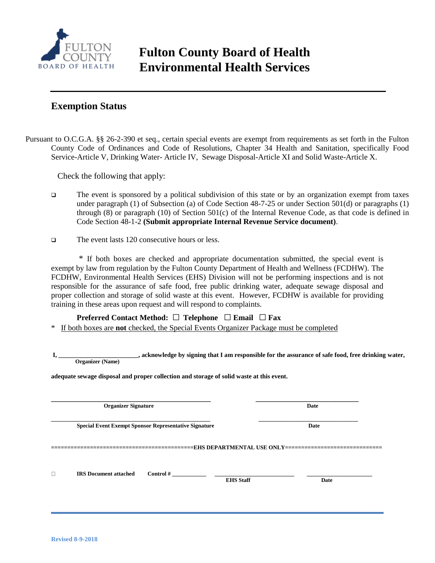

#### **Exemption Status**

Pursuant to O.C.G.A. §§ 26-2-390 et seq., certain special events are exempt from requirements as set forth in the Fulton County Code of Ordinances and Code of Resolutions, Chapter 34 Health and Sanitation, specifically Food Service-Article V, Drinking Water- Article IV, Sewage Disposal-Article XI and Solid Waste-Article X.

Check the following that apply:

- The event is sponsored by a political subdivision of this state or by an organization exempt from taxes under paragraph (1) of Subsection (a) of Code Section 48-7-25 or under Section 501(d) or paragraphs (1) through (8) or paragraph (10) of Section 501(c) of the Internal Revenue Code, as that code is defined in Code Section 48-1-2 **(Submit appropriate Internal Revenue Service document)**.
- The event lasts 120 consecutive hours or less.

 \* If both boxes are checked and appropriate documentation submitted, the special event is exempt by law from regulation by the Fulton County Department of Health and Wellness (FCDHW). The FCDHW, Environmental Health Services (EHS) Division will not be performing inspections and is not responsible for the assurance of safe food, free public drinking water, adequate sewage disposal and proper collection and storage of solid waste at this event. However, FCDHW is available for providing training in these areas upon request and will respond to complaints.

**Preferred Contact Method:** □ **Telephone** □ **Email** □ **Fax** 

\* If both boxes are **not** checked, the Special Events Organizer Package must be completed

 **I, \_\_\_\_\_\_\_\_\_\_\_\_\_\_\_\_\_\_\_\_\_\_\_\_\_, acknowledge by signing that I am responsible for the assurance of safe food, free drinking water, Organizer (Name)**

**adequate sewage disposal and proper collection and storage of solid waste at this event.**

|        | <b>Organizer Signature</b>   |                                                              |                                                                                  | Date<br>Date |  |  |
|--------|------------------------------|--------------------------------------------------------------|----------------------------------------------------------------------------------|--------------|--|--|
|        |                              | <b>Special Event Exempt Sponsor Representative Signature</b> |                                                                                  |              |  |  |
|        |                              |                                                              | ==========================EHS DEPARTMENTAL USE ONLY============================= |              |  |  |
| $\Box$ | <b>IRS</b> Document attached | Control#                                                     | <b>EHS Staff</b>                                                                 | <b>Date</b>  |  |  |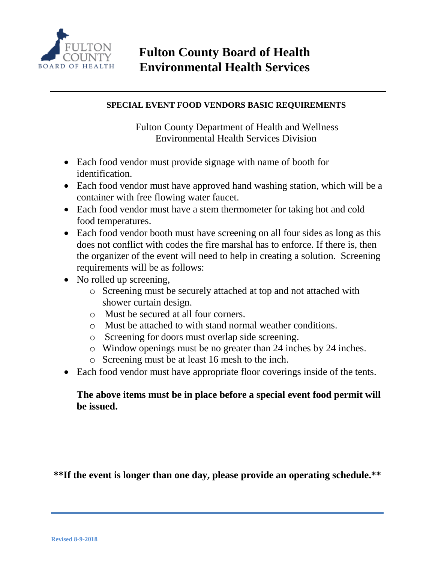

#### **SPECIAL EVENT FOOD VENDORS BASIC REQUIREMENTS**

 Fulton County Department of Health and Wellness Environmental Health Services Division

- Each food vendor must provide signage with name of booth for identification.
- Each food vendor must have approved hand washing station, which will be a container with free flowing water faucet.
- Each food vendor must have a stem thermometer for taking hot and cold food temperatures.
- Each food vendor booth must have screening on all four sides as long as this does not conflict with codes the fire marshal has to enforce. If there is, then the organizer of the event will need to help in creating a solution. Screening requirements will be as follows:
- No rolled up screening,
	- o Screening must be securely attached at top and not attached with shower curtain design.
	- o Must be secured at all four corners.
	- o Must be attached to with stand normal weather conditions.
	- o Screening for doors must overlap side screening.
	- o Window openings must be no greater than 24 inches by 24 inches.
	- o Screening must be at least 16 mesh to the inch.
- Each food vendor must have appropriate floor coverings inside of the tents.

#### **The above items must be in place before a special event food permit will be issued.**

**\*\*If the event is longer than one day, please provide an operating schedule.\*\***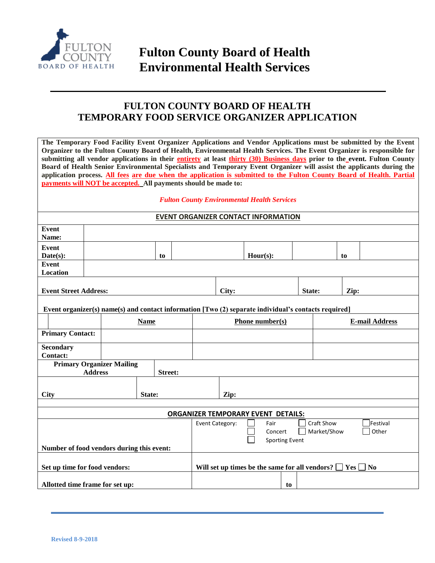

### **FULTON COUNTY BOARD OF HEALTH TEMPORARY FOOD SERVICE ORGANIZER APPLICATION**

| The Temporary Food Facility Event Organizer Applications and Vendor Applications must be submitted by the Event<br>Organizer to the Fulton County Board of Health, Environmental Health Services. The Event Organizer is responsible for |                                                                                                      |                |                 |                                                          |                                            |                       |                                                                           |                                                                                                                                                                                                                                               |  |  |
|------------------------------------------------------------------------------------------------------------------------------------------------------------------------------------------------------------------------------------------|------------------------------------------------------------------------------------------------------|----------------|-----------------|----------------------------------------------------------|--------------------------------------------|-----------------------|---------------------------------------------------------------------------|-----------------------------------------------------------------------------------------------------------------------------------------------------------------------------------------------------------------------------------------------|--|--|
|                                                                                                                                                                                                                                          |                                                                                                      |                |                 |                                                          |                                            |                       |                                                                           |                                                                                                                                                                                                                                               |  |  |
|                                                                                                                                                                                                                                          |                                                                                                      |                |                 |                                                          |                                            |                       |                                                                           | submitting all vendor applications in their entirety at least thirty (30) Business days prior to the event. Fulton County                                                                                                                     |  |  |
|                                                                                                                                                                                                                                          |                                                                                                      |                |                 |                                                          |                                            |                       |                                                                           | Board of Health Senior Environmental Specialists and Temporary Event Organizer will assist the applicants during the<br>application process. All fees are due when the application is submitted to the Fulton County Board of Health. Partial |  |  |
|                                                                                                                                                                                                                                          | payments will NOT be accepted. All payments should be made to:                                       |                |                 |                                                          |                                            |                       |                                                                           |                                                                                                                                                                                                                                               |  |  |
|                                                                                                                                                                                                                                          |                                                                                                      |                |                 |                                                          |                                            |                       |                                                                           |                                                                                                                                                                                                                                               |  |  |
| <b>Fulton County Environmental Health Services</b>                                                                                                                                                                                       |                                                                                                      |                |                 |                                                          |                                            |                       |                                                                           |                                                                                                                                                                                                                                               |  |  |
|                                                                                                                                                                                                                                          |                                                                                                      |                |                 |                                                          | <b>EVENT ORGANIZER CONTACT INFORMATION</b> |                       |                                                                           |                                                                                                                                                                                                                                               |  |  |
| Event                                                                                                                                                                                                                                    |                                                                                                      |                |                 |                                                          |                                            |                       |                                                                           |                                                                                                                                                                                                                                               |  |  |
| Name:                                                                                                                                                                                                                                    |                                                                                                      |                |                 |                                                          |                                            |                       |                                                                           |                                                                                                                                                                                                                                               |  |  |
| Event                                                                                                                                                                                                                                    |                                                                                                      |                |                 |                                                          |                                            |                       |                                                                           |                                                                                                                                                                                                                                               |  |  |
| Date(s):                                                                                                                                                                                                                                 |                                                                                                      | to             |                 |                                                          | $Hour(s)$ :                                |                       |                                                                           | to                                                                                                                                                                                                                                            |  |  |
| Event<br>Location                                                                                                                                                                                                                        |                                                                                                      |                |                 |                                                          |                                            |                       |                                                                           |                                                                                                                                                                                                                                               |  |  |
|                                                                                                                                                                                                                                          |                                                                                                      |                |                 |                                                          |                                            |                       |                                                                           |                                                                                                                                                                                                                                               |  |  |
| <b>Event Street Address:</b>                                                                                                                                                                                                             |                                                                                                      |                |                 |                                                          |                                            | State:                |                                                                           | Zip:                                                                                                                                                                                                                                          |  |  |
|                                                                                                                                                                                                                                          |                                                                                                      |                |                 | City:                                                    |                                            |                       |                                                                           |                                                                                                                                                                                                                                               |  |  |
|                                                                                                                                                                                                                                          | Event organizer(s) name(s) and contact information [Two (2) separate individual's contacts required] |                |                 |                                                          |                                            |                       |                                                                           |                                                                                                                                                                                                                                               |  |  |
| <b>Name</b>                                                                                                                                                                                                                              |                                                                                                      |                | Phone number(s) |                                                          |                                            | <b>E-mail Address</b> |                                                                           |                                                                                                                                                                                                                                               |  |  |
| <b>Primary Contact:</b>                                                                                                                                                                                                                  |                                                                                                      |                |                 |                                                          |                                            |                       |                                                                           |                                                                                                                                                                                                                                               |  |  |
| <b>Secondary</b>                                                                                                                                                                                                                         |                                                                                                      |                |                 |                                                          |                                            |                       |                                                                           |                                                                                                                                                                                                                                               |  |  |
| <b>Contact:</b>                                                                                                                                                                                                                          |                                                                                                      |                |                 |                                                          |                                            |                       |                                                                           |                                                                                                                                                                                                                                               |  |  |
|                                                                                                                                                                                                                                          | <b>Primary Organizer Mailing</b>                                                                     |                |                 |                                                          |                                            |                       |                                                                           |                                                                                                                                                                                                                                               |  |  |
|                                                                                                                                                                                                                                          | <b>Address</b>                                                                                       | <b>Street:</b> |                 |                                                          |                                            |                       |                                                                           |                                                                                                                                                                                                                                               |  |  |
|                                                                                                                                                                                                                                          |                                                                                                      |                |                 |                                                          |                                            |                       |                                                                           |                                                                                                                                                                                                                                               |  |  |
| <b>City</b><br>State:                                                                                                                                                                                                                    |                                                                                                      |                |                 | Zip:                                                     |                                            |                       |                                                                           |                                                                                                                                                                                                                                               |  |  |
|                                                                                                                                                                                                                                          |                                                                                                      |                |                 |                                                          |                                            |                       |                                                                           |                                                                                                                                                                                                                                               |  |  |
| <b>ORGANIZER TEMPORARY EVENT DETAILS:</b>                                                                                                                                                                                                |                                                                                                      |                |                 |                                                          |                                            |                       |                                                                           |                                                                                                                                                                                                                                               |  |  |
|                                                                                                                                                                                                                                          |                                                                                                      |                |                 | <b>Craft Show</b><br>Event Category:<br>Festival<br>Fair |                                            |                       |                                                                           |                                                                                                                                                                                                                                               |  |  |
|                                                                                                                                                                                                                                          |                                                                                                      |                |                 | Market/Show<br>Other<br>Concert                          |                                            |                       |                                                                           |                                                                                                                                                                                                                                               |  |  |
|                                                                                                                                                                                                                                          |                                                                                                      |                |                 |                                                          | <b>Sporting Event</b>                      |                       |                                                                           |                                                                                                                                                                                                                                               |  |  |
| Number of food vendors during this event:                                                                                                                                                                                                |                                                                                                      |                |                 |                                                          |                                            |                       |                                                                           |                                                                                                                                                                                                                                               |  |  |
|                                                                                                                                                                                                                                          |                                                                                                      |                |                 |                                                          |                                            |                       |                                                                           |                                                                                                                                                                                                                                               |  |  |
| Set up time for food vendors:                                                                                                                                                                                                            |                                                                                                      |                |                 |                                                          |                                            |                       | Will set up times be the same for all vendors?<br> Yes <br>N <sub>0</sub> |                                                                                                                                                                                                                                               |  |  |
|                                                                                                                                                                                                                                          |                                                                                                      |                |                 |                                                          |                                            |                       |                                                                           |                                                                                                                                                                                                                                               |  |  |
|                                                                                                                                                                                                                                          | Allotted time frame for set up:                                                                      |                |                 |                                                          | to                                         |                       |                                                                           |                                                                                                                                                                                                                                               |  |  |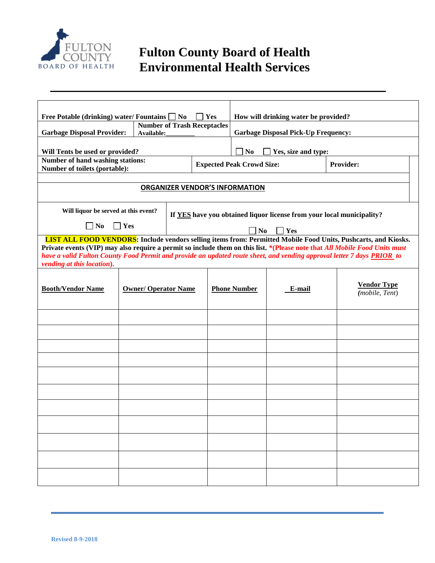

| <b>Free Potable (drinking) water/Fountains  </b><br>N <sub>0</sub><br>Yes                                                                                                                                                                                                                                                                                                                                   |                                                  |                                                                       |                     | How will drinking water be provided?  |        |                                      |  |  |
|-------------------------------------------------------------------------------------------------------------------------------------------------------------------------------------------------------------------------------------------------------------------------------------------------------------------------------------------------------------------------------------------------------------|--------------------------------------------------|-----------------------------------------------------------------------|---------------------|---------------------------------------|--------|--------------------------------------|--|--|
| <b>Garbage Disposal Provider:</b>                                                                                                                                                                                                                                                                                                                                                                           | <b>Number of Trash Receptacles</b><br>Available: | <b>Garbage Disposal Pick-Up Frequency:</b>                            |                     |                                       |        |                                      |  |  |
| Will Tents be used or provided?                                                                                                                                                                                                                                                                                                                                                                             |                                                  |                                                                       |                     | N <sub>0</sub><br>Yes, size and type: |        |                                      |  |  |
| Number of hand washing stations:<br>Number of toilets (portable):                                                                                                                                                                                                                                                                                                                                           |                                                  |                                                                       |                     | <b>Expected Peak Crowd Size:</b>      |        | <b>Provider:</b>                     |  |  |
| <b>ORGANIZER VENDOR'S INFORMATION</b>                                                                                                                                                                                                                                                                                                                                                                       |                                                  |                                                                       |                     |                                       |        |                                      |  |  |
|                                                                                                                                                                                                                                                                                                                                                                                                             |                                                  |                                                                       |                     |                                       |        |                                      |  |  |
| Will liquor be served at this event?                                                                                                                                                                                                                                                                                                                                                                        |                                                  | If YES have you obtained liquor license from your local municipality? |                     |                                       |        |                                      |  |  |
| $\Box$ Yes<br>$\Box$ No                                                                                                                                                                                                                                                                                                                                                                                     |                                                  | N <sub>0</sub>                                                        | $\Box$ Yes          |                                       |        |                                      |  |  |
| <b>LIST ALL FOOD VENDORS:</b> Include vendors selling items from: Permitted Mobile Food Units, Pushcarts, and Kiosks.<br>Private events (VIP) may also require a permit so include them on this list. *(Please note that All Mobile Food Units must<br>have a valid Fulton County Food Permit and provide an updated route sheet, and vending approval letter 7 days PRIOR to<br>vending at this location). |                                                  |                                                                       |                     |                                       |        |                                      |  |  |
| <b>Booth/Vendor Name</b>                                                                                                                                                                                                                                                                                                                                                                                    | <b>Owner/ Operator Name</b>                      |                                                                       | <b>Phone Number</b> |                                       | E-mail | <b>Vendor Type</b><br>(mobile, Tent) |  |  |
|                                                                                                                                                                                                                                                                                                                                                                                                             |                                                  |                                                                       |                     |                                       |        |                                      |  |  |
|                                                                                                                                                                                                                                                                                                                                                                                                             |                                                  |                                                                       |                     |                                       |        |                                      |  |  |
|                                                                                                                                                                                                                                                                                                                                                                                                             |                                                  |                                                                       |                     |                                       |        |                                      |  |  |
|                                                                                                                                                                                                                                                                                                                                                                                                             |                                                  |                                                                       |                     |                                       |        |                                      |  |  |
|                                                                                                                                                                                                                                                                                                                                                                                                             |                                                  |                                                                       |                     |                                       |        |                                      |  |  |
|                                                                                                                                                                                                                                                                                                                                                                                                             |                                                  |                                                                       |                     |                                       |        |                                      |  |  |
|                                                                                                                                                                                                                                                                                                                                                                                                             |                                                  |                                                                       |                     |                                       |        |                                      |  |  |
|                                                                                                                                                                                                                                                                                                                                                                                                             |                                                  |                                                                       |                     |                                       |        |                                      |  |  |
|                                                                                                                                                                                                                                                                                                                                                                                                             |                                                  |                                                                       |                     |                                       |        |                                      |  |  |
|                                                                                                                                                                                                                                                                                                                                                                                                             |                                                  |                                                                       |                     |                                       |        |                                      |  |  |
|                                                                                                                                                                                                                                                                                                                                                                                                             |                                                  |                                                                       |                     |                                       |        |                                      |  |  |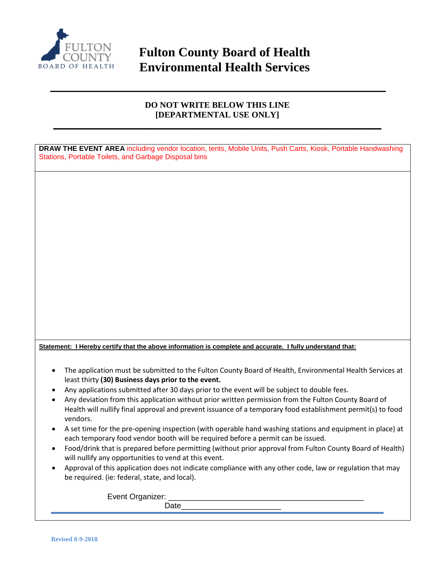

#### **DO NOT WRITE BELOW THIS LINE [DEPARTMENTAL USE ONLY] \_\_\_\_\_\_\_\_\_\_\_\_\_\_\_\_\_\_\_\_\_\_\_\_\_\_\_\_\_\_\_\_\_\_\_\_\_\_\_\_\_\_\_\_\_\_\_\_\_\_\_\_\_\_\_\_\_\_\_\_\_\_\_\_\_\_\_\_\_\_\_\_\_\_\_\_\_**

**DRAW THE EVENT AREA** including vendor location, tents, Mobile Units, Push Carts, Kiosk, Portable Handwashing Stations, Portable Toilets, and Garbage Disposal bins

**Statement: I Hereby certify that the above information is complete and accurate. I fully understand that:**

- The application must be submitted to the Fulton County Board of Health, Environmental Health Services at least thirty **(30) Business days prior to the event.**
- Any applications submitted after 30 days prior to the event will be subject to double fees.
- Any deviation from this application without prior written permission from the Fulton County Board of Health will nullify final approval and prevent issuance of a temporary food establishment permit(s) to food vendors.
- A set time for the pre-opening inspection (with operable hand washing stations and equipment in place) at each temporary food vendor booth will be required before a permit can be issued.
- Food/drink that is prepared before permitting (without prior approval from Fulton County Board of Health) will nullify any opportunities to vend at this event.
- Approval of this application does not indicate compliance with any other code, law or regulation that may be required. (ie: federal, state, and local).

Event Organizer:

Date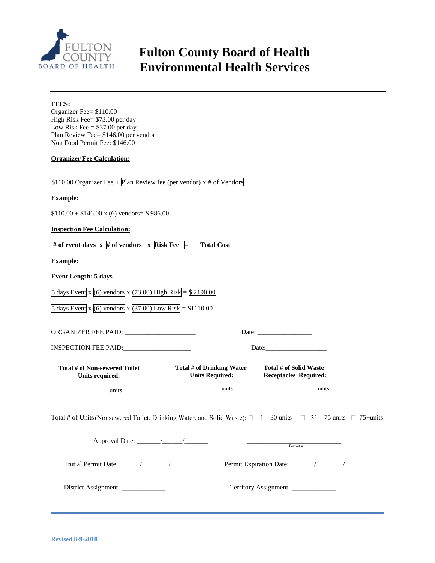

Organizer Fee= \$110.00

**FEES:**

# **Fulton County Board of Health Environmental Health Services**

| High Risk Fee= \$73.00 per day<br>Low Risk Fee $= $37.00$ per day<br>Plan Review Fee= \$146.00 per vendor<br>Non Food Permit Fee: \$146.00                        |  |  |  |  |  |
|-------------------------------------------------------------------------------------------------------------------------------------------------------------------|--|--|--|--|--|
| <b>Organizer Fee Calculation:</b>                                                                                                                                 |  |  |  |  |  |
| \$110.00 Organizer Fee + Plan Review fee (per vendor) $x \#$ of Vendors                                                                                           |  |  |  |  |  |
| <b>Example:</b>                                                                                                                                                   |  |  |  |  |  |
| $$110.00 + $146.00 \times (6) \text{ vendors} = $986.00$                                                                                                          |  |  |  |  |  |
| <b>Inspection Fee Calculation:</b>                                                                                                                                |  |  |  |  |  |
| # of event days $x \#$ of vendors $x \to$ Risk Fee $=$<br><b>Total Cost</b>                                                                                       |  |  |  |  |  |
| <b>Example:</b>                                                                                                                                                   |  |  |  |  |  |
| <b>Event Length: 5 days</b>                                                                                                                                       |  |  |  |  |  |
| 5 days Event x (6) vendors x (73.00) High Risk = $$2190.00$                                                                                                       |  |  |  |  |  |
| 5 days Event x (6) vendors x (37.00) Low Risk = $$1110.00$                                                                                                        |  |  |  |  |  |
|                                                                                                                                                                   |  |  |  |  |  |
| INSPECTION FEE PAID:                                                                                                                                              |  |  |  |  |  |
| Total # of Non-sewered Toilet<br>Total # of Drinking Water<br>Total # of Solid Waste<br><b>Units Required:</b><br><b>Receptacles Required:</b><br>Units required: |  |  |  |  |  |
| units<br><u>units</u><br><u>__________</u> units                                                                                                                  |  |  |  |  |  |
| Total # of Units (Nonsewered Toilet, Drinking Water, and Solid Waste): $\Box$ 1 – 30 units $\Box$ 31 – 75 units $\Box$ 75+units                                   |  |  |  |  |  |
| Permit#                                                                                                                                                           |  |  |  |  |  |
|                                                                                                                                                                   |  |  |  |  |  |
| District Assignment: ____________                                                                                                                                 |  |  |  |  |  |